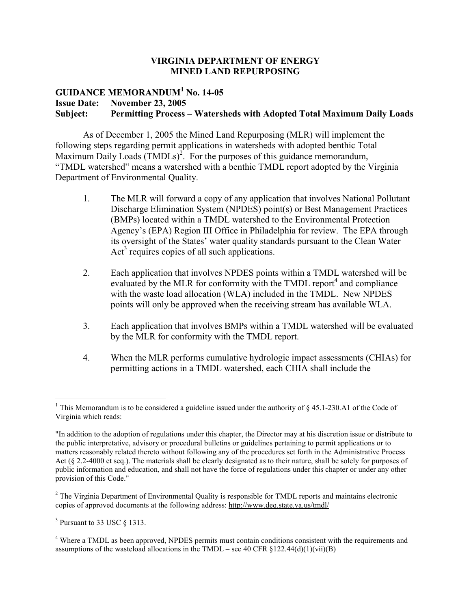#### **VIRGINIA DEPARTMENT OF ENERGY MINED LAND REPURPOSING**

# **GUIDANCE MEMORANDUM<sup>1</sup> No. 14-05 Issue Date: November 23, 2005 Subject: Permitting Process – Watersheds with Adopted Total Maximum Daily Loads**

As of December 1, 2005 the Mined Land Repurposing (MLR) will implement the following steps regarding permit applications in watersheds with adopted benthic Total Maximum Daily Loads  $(TMDLs)^2$ . For the purposes of this guidance memorandum, "TMDL watershed" means a watershed with a benthic TMDL report adopted by the Virginia Department of Environmental Quality.

- 1. The MLR will forward a copy of any application that involves National Pollutant Discharge Elimination System (NPDES) point(s) or Best Management Practices (BMPs) located within a TMDL watershed to the Environmental Protection Agency's (EPA) Region III Office in Philadelphia for review. The EPA through its oversight of the States' water quality standards pursuant to the Clean Water  $Act<sup>3</sup>$  requires copies of all such applications.
- 2. Each application that involves NPDES points within a TMDL watershed will be evaluated by the MLR for conformity with the TMDL report $4$  and compliance with the waste load allocation (WLA) included in the TMDL. New NPDES points will only be approved when the receiving stream has available WLA.
- 3. Each application that involves BMPs within a TMDL watershed will be evaluated by the MLR for conformity with the TMDL report.
- 4. When the MLR performs cumulative hydrologic impact assessments (CHIAs) for permitting actions in a TMDL watershed, each CHIA shall include the

<sup>&</sup>lt;sup>1</sup> This Memorandum is to be considered a guideline issued under the authority of  $\S$  45.1-230.A1 of the Code of Virginia which reads:

<sup>&</sup>quot;In addition to the adoption of regulations under this chapter, the Director may at his discretion issue or distribute to the public interpretative, advisory or procedural bulletins or guidelines pertaining to permit applications or to matters reasonably related thereto without following any of the procedures set forth in the Administrative Process Act (§ 2.2-4000 et seq.). The materials shall be clearly designated as to their nature, shall be solely for purposes of public information and education, and shall not have the force of regulations under this chapter or under any other provision of this Code."

 $2^2$  The Virginia Department of Environmental Quality is responsible for TMDL reports and maintains electronic copies of approved documents at the following address: http://www.deq.state.va.us/tmdl/

 $3$  Pursuant to 33 USC  $\S$  1313.

<sup>&</sup>lt;sup>4</sup> Where a TMDL as been approved, NPDES permits must contain conditions consistent with the requirements and assumptions of the wasteload allocations in the TMDL – see 40 CFR  $\S 122.44(d)(1)(vi)(B)$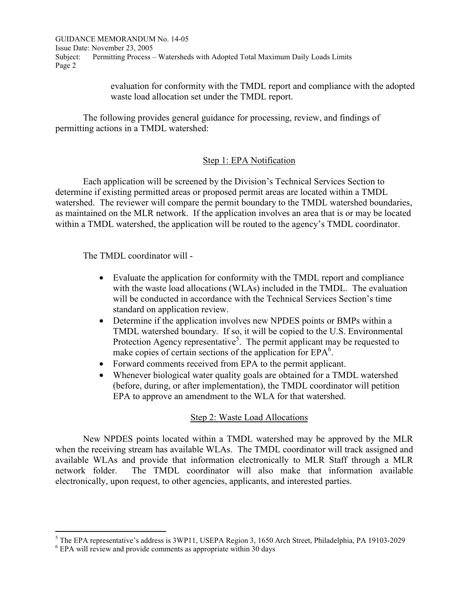GUIDANCE MEMORANDUM No. 14-05 Issue Date: November 23, 2005 Subject: Permitting Process – Watersheds with Adopted Total Maximum Daily Loads Limits Page 2

> evaluation for conformity with the TMDL report and compliance with the adopted waste load allocation set under the TMDL report.

The following provides general guidance for processing, review, and findings of permitting actions in a TMDL watershed:

# Step 1: EPA Notification

Each application will be screened by the Division's Technical Services Section to determine if existing permitted areas or proposed permit areas are located within a TMDL watershed. The reviewer will compare the permit boundary to the TMDL watershed boundaries, as maintained on the MLR network. If the application involves an area that is or may be located within a TMDL watershed, the application will be routed to the agency's TMDL coordinator.

The TMDL coordinator will -

- Evaluate the application for conformity with the TMDL report and compliance with the waste load allocations (WLAs) included in the TMDL. The evaluation will be conducted in accordance with the Technical Services Section's time standard on application review.
- Determine if the application involves new NPDES points or BMPs within a TMDL watershed boundary. If so, it will be copied to the U.S. Environmental Protection Agency representative<sup>5</sup>. The permit applicant may be requested to make copies of certain sections of the application for  $EPA<sup>6</sup>$ .
- Forward comments received from EPA to the permit applicant.
- Whenever biological water quality goals are obtained for a TMDL watershed (before, during, or after implementation), the TMDL coordinator will petition EPA to approve an amendment to the WLA for that watershed.

# Step 2: Waste Load Allocations

New NPDES points located within a TMDL watershed may be approved by the MLR when the receiving stream has available WLAs. The TMDL coordinator will track assigned and available WLAs and provide that information electronically to MLR Staff through a MLR network folder. The TMDL coordinator will also make that information available electronically, upon request, to other agencies, applicants, and interested parties.

 $<sup>5</sup>$  The EPA representative's address is 3WP11, USEPA Region 3, 1650 Arch Street, Philadelphia, PA 19103-2029</sup>

<sup>6</sup> EPA will review and provide comments as appropriate within 30 days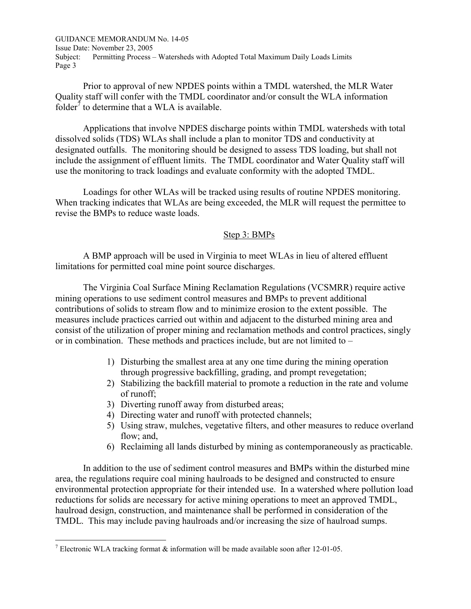GUIDANCE MEMORANDUM No. 14-05 Issue Date: November 23, 2005 Subject: Permitting Process – Watersheds with Adopted Total Maximum Daily Loads Limits Page 3

Prior to approval of new NPDES points within a TMDL watershed, the MLR Water Quality staff will confer with the TMDL coordinator and/or consult the WLA information folder<sup> $\bar{\tau}$ </sup> to determine that a WLA is available.

Applications that involve NPDES discharge points within TMDL watersheds with total dissolved solids (TDS) WLAs shall include a plan to monitor TDS and conductivity at designated outfalls. The monitoring should be designed to assess TDS loading, but shall not include the assignment of effluent limits. The TMDL coordinator and Water Quality staff will use the monitoring to track loadings and evaluate conformity with the adopted TMDL.

Loadings for other WLAs will be tracked using results of routine NPDES monitoring. When tracking indicates that WLAs are being exceeded, the MLR will request the permittee to revise the BMPs to reduce waste loads.

#### Step 3: BMPs

A BMP approach will be used in Virginia to meet WLAs in lieu of altered effluent limitations for permitted coal mine point source discharges.

The Virginia Coal Surface Mining Reclamation Regulations (VCSMRR) require active mining operations to use sediment control measures and BMPs to prevent additional contributions of solids to stream flow and to minimize erosion to the extent possible. The measures include practices carried out within and adjacent to the disturbed mining area and consist of the utilization of proper mining and reclamation methods and control practices, singly or in combination. These methods and practices include, but are not limited to –

- 1) Disturbing the smallest area at any one time during the mining operation through progressive backfilling, grading, and prompt revegetation;
- 2) Stabilizing the backfill material to promote a reduction in the rate and volume of runoff;
- 3) Diverting runoff away from disturbed areas;
- 4) Directing water and runoff with protected channels;
- 5) Using straw, mulches, vegetative filters, and other measures to reduce overland flow; and,
- 6) Reclaiming all lands disturbed by mining as contemporaneously as practicable.

In addition to the use of sediment control measures and BMPs within the disturbed mine area, the regulations require coal mining haulroads to be designed and constructed to ensure environmental protection appropriate for their intended use. In a watershed where pollution load reductions for solids are necessary for active mining operations to meet an approved TMDL, haulroad design, construction, and maintenance shall be performed in consideration of the TMDL. This may include paving haulroads and/or increasing the size of haulroad sumps.

<sup>&</sup>lt;sup>7</sup> Electronic WLA tracking format  $\&$  information will be made available soon after 12-01-05.